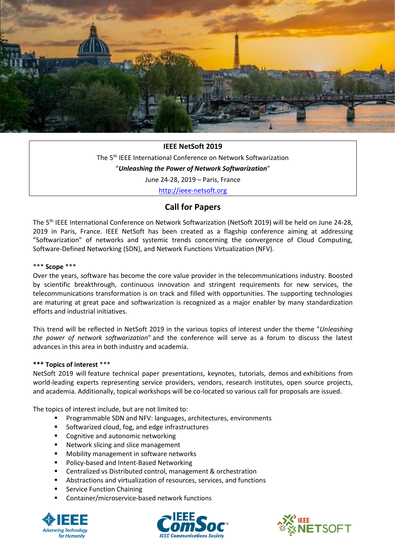

**IEEE NetSoft 2019** The 5<sup>th</sup> IEEE International Conference on Network Softwarization "*Unleashing the Power of Network Softwarization*" June 24-28, 2019 – Paris, France [http://ieee-netsoft.org](http://ieee-netsoft.org/)

# **Call for Papers**

The 5<sup>th</sup> IEEE International Conference on Network Softwarization (NetSoft 2019) will be held on June 24-28, 2019 in Paris, France. IEEE NetSoft has been created as a flagship conference aiming at addressing "Softwarization" of networks and systemic trends concerning the convergence of Cloud Computing, Software-Defined Networking (SDN), and Network Functions Virtualization (NFV).

### \*\*\* **Scope** \*\*\*

Over the years, software has become the core value provider in the telecommunications industry. Boosted by scientific breakthrough, continuous innovation and stringent requirements for new services, the telecommunications transformation is on track and filled with opportunities. The supporting technologies are maturing at great pace and softwarization is recognized as a major enabler by many standardization efforts and industrial initiatives.

This trend will be reflected in NetSoft 2019 in the various topics of interest under the theme "*Unleashing the power of network softwarization*" and the conference will serve as a forum to discuss the latest advances in this area in both industry and academia.

## **\*\*\* Topics of interest** \*\*\*

NetSoft 2019 will feature technical paper presentations, keynotes, tutorials, demos and exhibitions from world-leading experts representing service providers, vendors, research institutes, open source projects, and academia. Additionally, topical workshops will be co-located so various call for proposals are issued.

The topics of interest include, but are not limited to:

- Programmable SDN and NFV: languages, architectures, environments
- Softwarized cloud, fog, and edge infrastructures
- Cognitive and autonomic networking
- Network slicing and slice management
- Mobility management in software networks
- Policy-based and Intent-Based Networking
- Centralized vs Distributed control, management & orchestration
- Abstractions and virtualization of resources, services, and functions
- **Service Function Chaining**
- Container/microservice-based network functions